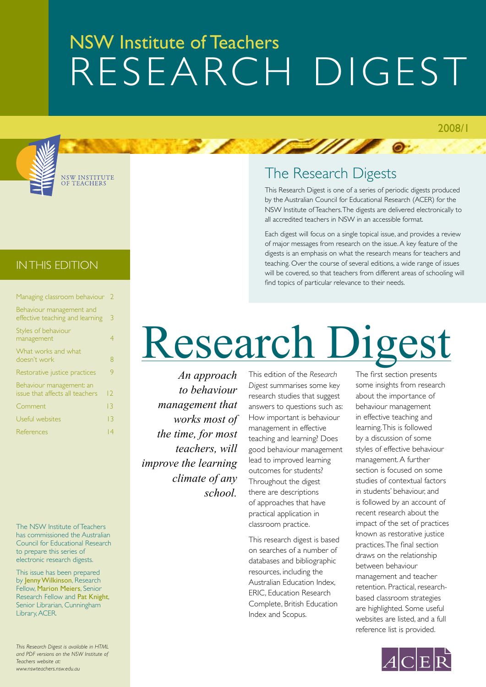### NSW Institute of Teachers Research DIGEST



NSW INSTITUT<mark>e</mark><br>Of Teachers

### The Research Digests

**EXAMPLE** 

This Research Digest is one of a series of periodic digests produced by the Australian Council for Educational Research (ACER) for the NSW Institute of Teachers. The digests are delivered electronically to all accredited teachers in NSW in an accessible format.

Each digest will focus on a single topical issue, and provides a review of major messages from research on the issue. A key feature of the digests is an emphasis on what the research means for teachers and teaching. Over the course of several editions, a wide range of issues will be covered, so that teachers from different areas of schooling will find topics of particular relevance to their needs.

### IN THIS edition

| Managing classroom behaviour                                | $\overline{2}$  |
|-------------------------------------------------------------|-----------------|
| Behaviour management and<br>effective teaching and learning | 3               |
| Styles of behaviour<br>management                           | 4               |
| What works and what<br>doesn't work                         | 8               |
| Restorative justice practices                               | 9               |
| Behaviour management: an<br>issue that affects all teachers | $\overline{2}$  |
| Comment                                                     | $\overline{13}$ |
| Useful websites                                             | $\overline{13}$ |
| References                                                  | 14              |
|                                                             |                 |

The NSW Institute of Teachers has commissioned the Australian Council for Educational Research to prepare this series of electronic research digests.

This issue has been prepared by Jenny Wilkinson, Research Fellow, Marion Meiers, Senior Research Fellow and Pat Knight, Senior Librarian, Cunningham Library, ACER.

*This Research Digest is available in HTML and PDF versions on the NSW Institute of Teachers website at: www.nswteachers.nsw.edu.au*

## Research Digest

*An approach to behaviour management that works most of the time, for most teachers, will improve the learning climate of any school.* 

This edition of the *Research Digest* summarises some key research studies that suggest answers to questions such as: How important is behaviour management in effective teaching and learning? Does good behaviour management lead to improved learning outcomes for students? Throughout the digest there are descriptions of approaches that have practical application in classroom practice.

This research digest is based on searches of a number of databases and bibliographic resources, including the Australian Education Index, ERIC, Education Research Complete, British Education Index and Scopus.

The first section presents some insights from research about the importance of behaviour management in effective teaching and learning. This is followed by a discussion of some styles of effective behaviour management. A further section is focused on some studies of contextual factors in students' behaviour, and is followed by an account of recent research about the impact of the set of practices known as restorative justice practices. The final section draws on the relationship between behaviour management and teacher retention. Practical, researchbased classroom strategies are highlighted. Some useful websites are listed, and a full reference list is provided.

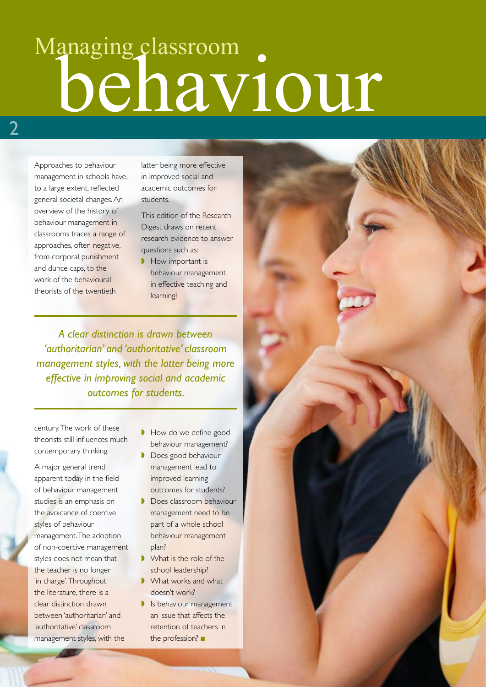## behaviour Managing classroom

Approaches to behaviour management in schools have, to a large extent, reflected general societal changes. An overview of the history of behaviour management in classrooms traces a range of approaches, often negative, from corporal punishment and dunce caps, to the work of the behavioural theorists of the twentieth

latter being more effective in improved social and academic outcomes for students.

This edition of the Research Digest draws on recent research evidence to answer questions such as:

**▶ How important is** behaviour management in effective teaching and learning?

*A clear distinction is drawn between 'authoritarian' and 'authoritative' classroom management styles, with the latter being more effective in improving social and academic outcomes for students.* 

century. The work of these theorists still influences much contemporary thinking.

A major general trend apparent today in the field of behaviour management studies is an emphasis on the avoidance of coercive styles of behaviour management. The adoption of non-coercive management styles does not mean that the teacher is no longer 'in charge'. Throughout the literature, there is a clear distinction drawn between 'authoritarian' and 'authoritative' classroom management styles, with the

- How do we define good behaviour management?
- ◗ Does good behaviour management lead to improved learning outcomes for students?
- ◗ Does classroom behaviour management need to be part of a whole school behaviour management plan?
- What is the role of the school leadership?
- What works and what doesn't work?
- **▶ Is behaviour management** an issue that affects the retention of teachers in the profession? ■

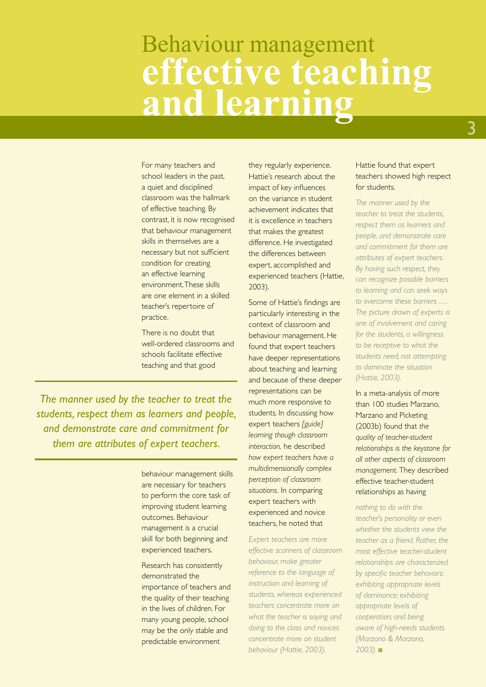### **effective teaching and learning** Behaviour management

For many teachers and school leaders in the past, a quiet and disciplined classroom was the hallmark of effective teaching. By contrast, it is now recognised that behaviour management skills in themselves are a necessary but not sufficient condition for creating an effective learning environment. These skills are one element in a skilled teacher's repertoire of practice.

There is no doubt that well-ordered classrooms and schools facilitate effective teaching and that good

*The manner used by the teacher to treat the students, respect them as learners and people, and demonstrate care and commitment for them are attributes of expert teachers.* 

> behaviour management skills are necessary for teachers to perform the core task of improving student learning outcomes. Behaviour management is a crucial skill for both beginning and experienced teachers.

Research has consistently demonstrated the importance of teachers and the quality of their teaching in the lives of children. For many young people, school may be the only stable and predictable environment

they regularly experience. Hattie's research about the impact of key influences on the variance in student achievement indicates that it is excellence in teachers that makes the greatest difference. He investigated the differences between expert, accomplished and experienced teachers (Hattie, 2003).

Some of Hattie's findings are particularly interesting in the context of classroom and behaviour management. He found that expert teachers have deeper representations about teaching and learning and because of these deeper representations can be much more responsive to students. In discussing how expert teachers *[guide] learning though classroom interaction,* he described *how expert teachers have a multidimensionally complex perception of classroom situations.* In comparing expert teachers with experienced and novice teachers, he noted that

*Expert teachers are more effective scanners of classroom behaviour, make greater reference to the language of instruction and learning of students, whereas experienced teachers concentrate more on what the teacher is saying and doing to the class and novices concentrate more on student behaviour (Hattie, 2003).* 

### Hattie found that expert teachers showed high respect for students.

*The manner used by the teacher to treat the students, respect them as learners and people, and demonstrate care and commitment for them are attributes of expert teachers. By having such respect, they can recognize possible barriers to learning and can seek ways to overcome these barriers …. The picture drawn of experts is one of involvement and caring for the students, a willingness to be receptive to what the students need, not attempting to dominate the situation (Hattie, 2003).* 

In a meta-analysis of more than 100 studies Marzano, Marzano and Picketing (2003b) found that *the quality of teacher-student relationships is the keystone for all other aspects of classroom management.* They described effective teacher-student relationships as having

*nothing to do with the teacher's personality or even whether the students view the teacher as a friend. Rather, the most effective teacher-student relationships are characterized by specific teacher behaviors: exhibiting appropriate levels of dominance; exhibiting appropriate levels of cooperation; and being aware of high-needs students (Marzano & Marzano, 2003).* ■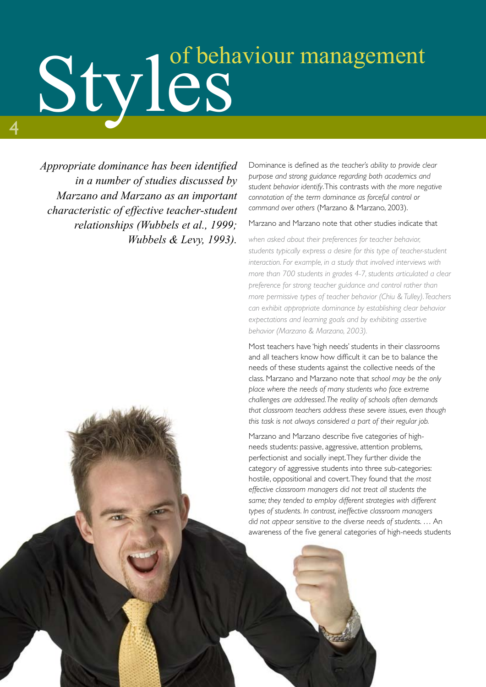# Styles of behaviour management

*Appropriate dominance has been identified in a number of studies discussed by Marzano and Marzano as an important characteristic of effective teacher-student relationships (Wubbels et al., 1999; Wubbels & Levy, 1993).* 

4

Dominance is defined as *the teacher's ability to provide clear purpose and strong guidance regarding both academics and student behavior identify*. This contrasts with *the more negative connotation of the term dominance as forceful control or command over others* (Marzano & Marzano, 2003).

### Marzano and Marzano note that other studies indicate that

*when asked about their preferences for teacher behavior, students typically express a desire for this type of teacher-student interaction. For example, in a study that involved interviews with more than 700 students in grades 4-7, students articulated a clear preference for strong teacher guidance and control rather than more permissive types of teacher behavior (Chiu & Tulley). Teachers can exhibit appropriate dominance by establishing clear behavior expectations and learning goals and by exhibiting assertive behavior (Marzano & Marzano, 2003).*

Most teachers have 'high needs' students in their classrooms and all teachers know how difficult it can be to balance the needs of these students against the collective needs of the class. Marzano and Marzano note that *school may be the only place where the needs of many students who face extreme challenges are addressed. The reality of schools often demands that classroom teachers address these severe issues, even though this task is not always considered a part of their regular job.*

Marzano and Marzano describe five categories of highneeds students: passive, aggressive, attention problems, perfectionist and socially inept. They further divide the category of aggressive students into three sub-categories: hostile, oppositional and covert. They found that *the most effective classroom managers did not treat all students the same; they tended to employ different strategies with different types of students. In contrast, ineffective classroom managers did not appear sensitive to the diverse needs of students*. … An awareness of the five general categories of high-needs students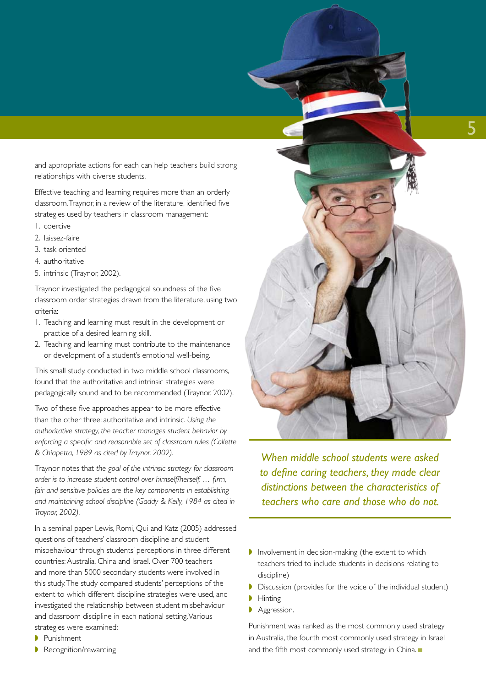and appropriate actions for each can help teachers build strong relationships with diverse students.

Effective teaching and learning requires more than an orderly classroom. Traynor, in a review of the literature, identified five strategies used by teachers in classroom management:

- 1. coercive
- 2. laissez-faire
- 3. task oriented
- 4. authoritative
- 5. intrinsic (Traynor, 2002).

Traynor investigated the pedagogical soundness of the five classroom order strategies drawn from the literature, using two criteria:

- 1. Teaching and learning must result in the development or practice of a desired learning skill.
- 2. Teaching and learning must contribute to the maintenance or development of a student's emotional well-being.

This small study, conducted in two middle school classrooms, found that the authoritative and intrinsic strategies were pedagogically sound and to be recommended (Traynor, 2002).

Two of these five approaches appear to be more effective than the other three: authoritative and intrinsic. *Using the authoritative strategy, the teacher manages student behavior by enforcing a specific and reasonable set of classroom rules (Collette & Chiapetta, 1989 as cited by Traynor, 2002).*

Traynor notes that *the goal of the intrinsic strategy for classroom order is to increase student control over himself/herself. … firm, fair and sensitive policies are the key components in establishing and maintaining school discipline (Gaddy & Kelly, 1984 as cited in Traynor, 2002).*

In a seminal paper Lewis, Romi, Qui and Katz (2005) addressed questions of teachers' classroom discipline and student misbehaviour through students' perceptions in three different countries: Australia, China and Israel. Over 700 teachers and more than 5000 secondary students were involved in this study. The study compared students' perceptions of the extent to which different discipline strategies were used, and investigated the relationship between student misbehaviour and classroom discipline in each national setting. Various strategies were examined:

- ◗ Punishment
- Recognition/rewarding



*When middle school students were asked to define caring teachers, they made clear distinctions between the characteristics of teachers who care and those who do not.*

- ◗ Involvement in decision-making (the extent to which teachers tried to include students in decisions relating to discipline)
- ◗ Discussion (provides for the voice of the individual student)
- ◗ Hinting
- ◗ Aggression.

Punishment was ranked as the most commonly used strategy in Australia, the fourth most commonly used strategy in Israel and the fifth most commonly used strategy in China. ■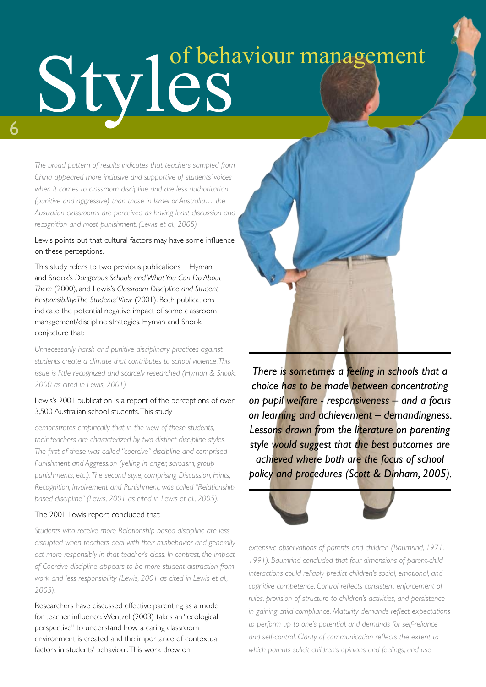# Styles (S

*The broad pattern of results indicates that teachers sampled from China appeared more inclusive and supportive of students' voices when it comes to classroom discipline and are less authoritarian (punitive and aggressive) than those in Israel or Australia… the Australian classrooms are perceived as having least discussion and recognition and most punishment. (Lewis et al., 2005)* 

Lewis points out that cultural factors may have some influence on these perceptions.

This study refers to two previous publications – Hyman and Snook's *Dangerous Schools and What You Can Do About Them* (2000), and Lewis's *Classroom Discipline and Student Responsibility: The Students' View* (2001). Both publications indicate the potential negative impact of some classroom management/discipline strategies. Hyman and Snook conjecture that:

*Unnecessarily harsh and punitive disciplinary practices against students create a climate that contributes to school violence. This issue is little recognized and scarcely researched (Hyman & Snook, 2000 as cited in Lewis, 2001)*

### Lewis's 2001 publication is a report of the perceptions of over 3,500 Australian school students. This study

*demonstrates empirically that in the view of these students, their teachers are characterized by two distinct discipline styles. The first of these was called "coercive" discipline and comprised Punishment and Aggression (yelling in anger, sarcasm, group punishments, etc.). The second style, comprising Discussion, Hints, Recognition, Involvement and Punishment, was called "Relationship based discipline" (Lewis, 2001 as cited in Lewis et al., 2005).* 

### The 2001 Lewis report concluded that:

*Students who receive more Relationship based discipline are less disrupted when teachers deal with their misbehavior and generally act more responsibly in that teacher's class. In contrast, the impact of Coercive discipline appears to be more student distraction from work and less responsibility (Lewis, 2001 as cited in Lewis et al., 2005).*

Researchers have discussed effective parenting as a model for teacher influence. Wentzel (2003) takes an "ecological perspective" to understand how a caring classroom environment is created and the importance of contextual factors in students' behaviour. This work drew on



*There is sometimes a feeling in schools that a choice has to be made between concentrating on pupil welfare - responsiveness – and a focus on learning and achievement – demandingness. Lessons drawn from the literature on parenting style would suggest that the best outcomes are achieved where both are the focus of school policy and procedures (Scott & Dinham, 2005).*



*extensive observations of parents and children (Baumrind, 1971, 1991). Baumrind concluded that four dimensions of parent-child interactions could reliably predict children's social, emotional, and cognitive competence. Control reflects consistent enforcement of rules, provision of structure to children's activities, and persistence in gaining child compliance. Maturity demands reflect expectations to perform up to one's potential, and demands for self-reliance and self-control. Clarity of communication reflects the extent to which parents solicit children's opinions and feelings, and use*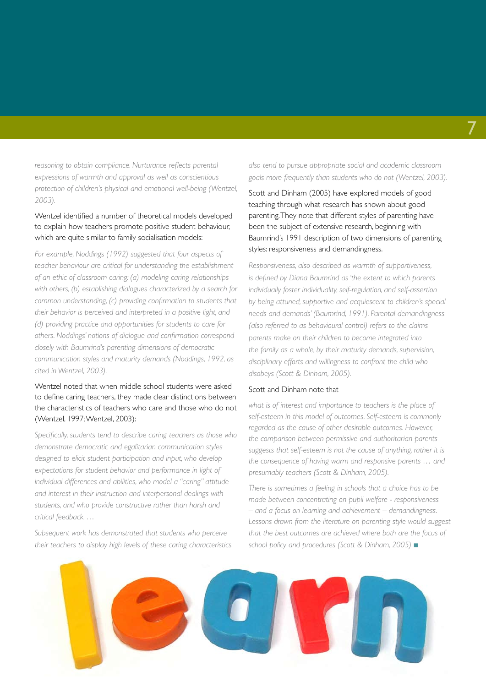*reasoning to obtain compliance. Nurturance reflects parental expressions of warmth and approval as well as conscientious protection of children's physical and emotional well-being (Wentzel, 2003).*

### Wentzel identified a number of theoretical models developed to explain how teachers promote positive student behaviour, which are quite similar to family socialisation models:

*For example, Noddings (1992) suggested that four aspects of teacher behaviour are critical for understanding the establishment of an ethic of classroom caring: (a) modeling caring relationships with others, (b) establishing dialogues characterized by a search for common understanding, (c) providing confirmation to students that their behavior is perceived and interpreted in a positive light, and (d) providing practice and opportunities for students to care for others. Noddings' notions of dialogue and confirmation correspond closely with Baumrind's parenting dimensions of democratic communication styles and maturity demands (Noddings, 1992, as cited in Wentzel, 2003).*

### Wentzel noted that when middle school students were asked to define caring teachers, they made clear distinctions between the characteristics of teachers who care and those who do not (Wentzel, 1997; Wentzel, 2003):

*Specifically, students tend to describe caring teachers as those who demonstrate democratic and egalitarian communication styles designed to elicit student participation and input, who develop expectations for student behavior and performance in light of individual differences and abilities, who model a "caring" attitude and interest in their instruction and interpersonal dealings with students, and who provide constructive rather than harsh and critical feedback. …*

*Subsequent work has demonstrated that students who perceive their teachers to display high levels of these caring characteristics*  *also tend to pursue appropriate social and academic classroom goals more frequently than students who do not (Wentzel, 2003).*

Scott and Dinham (2005) have explored models of good teaching through what research has shown about good parenting. They note that different styles of parenting have been the subject of extensive research, beginning with Baumrind's 1991 description of two dimensions of parenting styles: responsiveness and demandingness.

*Responsiveness, also described as warmth of supportiveness, is defined by Diana Baumrind as 'the extent to which parents individually foster individuality, self-regulation, and self-assertion by being attuned, supportive and acquiescent to children's special needs and demands' (Baumrind, 1991). Parental demandingness (also referred to as behavioural control) refers to the claims parents make on their children to become integrated into the family as a whole, by their maturity demands, supervision, disciplinary efforts and willingness to confront the child who disobeys (Scott & Dinham, 2005).* 

### Scott and Dinham note that

*what is of interest and importance to teachers is the place of self-esteem in this model of outcomes. Self-esteem is commonly regarded as the cause of other desirable outcomes. However, the comparison between permissive and authoritarian parents suggests that self-esteem is not the cause of anything, rather it is the consequence of having warm and responsive parents … and presumably teachers (Scott & Dinham, 2005).*

*There is sometimes a feeling in schools that a choice has to be made between concentrating on pupil welfare - responsiveness – and a focus on learning and achievement – demandingness. Lessons drawn from the literature on parenting style would suggest that the best outcomes are achieved where both are the focus of school policy and procedures (Scott & Dinham, 2005)* ■

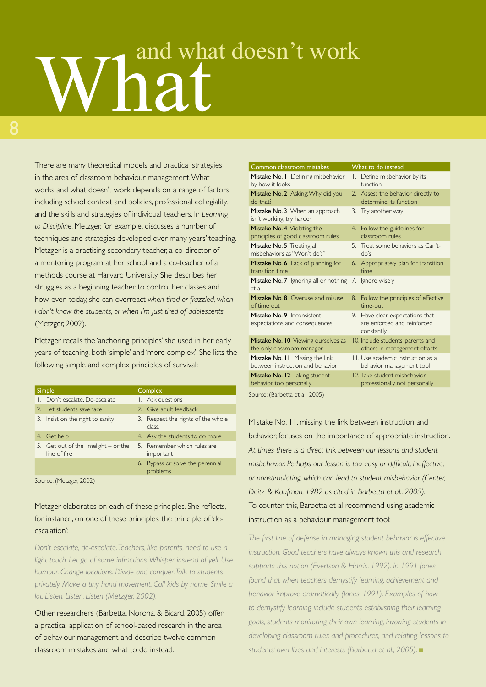# What doesn't work

There are many theoretical models and practical strategies in the area of classroom behaviour management. What works and what doesn't work depends on a range of factors including school context and policies, professional collegiality, and the skills and strategies of individual teachers. In *Learning to Discipline*, Metzger, for example, discusses a number of techniques and strategies developed over many years' teaching. Metzger is a practising secondary teacher, a co-director of a mentoring program at her school and a co-teacher of a methods course at Harvard University. She describes her struggles as a beginning teacher to control her classes and how, even today, she can overreact *when tired or frazzled, when I don't know the students, or when I'm just tired of adolescents*  (Metzger, 2002).

Metzger recalls the 'anchoring principles' she used in her early years of teaching, both 'simple' and 'more complex'. She lists the following simple and complex principles of survival:

| Simple |                                                      | Complex |                                              |
|--------|------------------------------------------------------|---------|----------------------------------------------|
|        | Don't escalate. De-escalate                          |         | I. Ask questions                             |
|        | 2. Let students save face                            |         | 2. Give adult feedback                       |
|        | 3. Insist on the right to sanity                     |         | 3. Respect the rights of the whole<br>class. |
|        | 4. Get help                                          |         | 4. Ask the students to do more               |
|        | 5. Get out of the limelight – or the<br>line of fire |         | 5. Remember which rules are<br>important     |
|        |                                                      |         | 6. Bypass or solve the perennial<br>problems |

Source: (Metzger, 2002)

Metzger elaborates on each of these principles. She reflects, for instance, on one of these principles, the principle of 'deescalation':

*Don't escalate, de-escalate. Teachers, like parents, need to use a light touch. Let go of some infractions. Whisper instead of yell. Use humour. Change locations. Divide and conquer. Talk to students privately. Make a tiny hand movement. Call kids by name. Smile a lot. Listen. Listen. Listen (Metzger, 2002).*

Other researchers (Barbetta, Norona, & Bicard, 2005) offer a practical application of school-based research in the area of behaviour management and describe twelve common classroom mistakes and what to do instead:

| Common classroom mistakes                                   | What to do instead                                                           |  |  |  |
|-------------------------------------------------------------|------------------------------------------------------------------------------|--|--|--|
| Mistake No. I Defining misbehavior                          | 1. Define misbehavior by its                                                 |  |  |  |
| by how it looks                                             | function                                                                     |  |  |  |
| Mistake No. 2 Asking: Why did you                           | 2. Assess the behavior directly to                                           |  |  |  |
| do that?                                                    | determine its function                                                       |  |  |  |
| Mistake No. 3 When an approach<br>isn't working, try harder | 3. Try another way                                                           |  |  |  |
| Mistake No. 4 Violating the                                 | 4. Follow the guidelines for                                                 |  |  |  |
| principles of good classroom rules                          | classroom rules                                                              |  |  |  |
| Mistake No. 5 Treating all                                  | 5. Treat some behaviors as Can't-                                            |  |  |  |
| misbehaviors as "Won't do's"                                | $d^2s$                                                                       |  |  |  |
| Mistake No. 6 Lack of planning for                          | 6. Appropriately plan for transition                                         |  |  |  |
| transition time                                             | time                                                                         |  |  |  |
| Mistake No. 7 Ignoring all or nothing<br>at all             | 7. Ignore wisely                                                             |  |  |  |
| Mistake No. 8 Overuse and misuse                            | 8. Follow the principles of effective                                        |  |  |  |
| of time out                                                 | time-out                                                                     |  |  |  |
| Mistake No. 9 Inconsistent<br>expectations and consequences | 9. Have clear expectations that<br>are enforced and reinforced<br>constantly |  |  |  |
| Mistake No. 10 Viewing ourselves as                         | 10. Include students, parents and                                            |  |  |  |
| the only classroom manager                                  | others in management efforts                                                 |  |  |  |
| Mistake No. 11 Missing the link                             | II. Use academic instruction as a                                            |  |  |  |
| between instruction and behavior                            | behavior management tool                                                     |  |  |  |
| Mistake No. 12 Taking student                               | 12. Take student misbehavior                                                 |  |  |  |
| behavior too personally                                     | professionally, not personally                                               |  |  |  |
| Source: (Barbetta et al., 2005)                             |                                                                              |  |  |  |

Mistake No. 11, missing the link between instruction and behavior, focuses on the importance of appropriate instruction. *At times there is a direct link between our lessons and student misbehavior. Perhaps our lesson is too easy or difficult, ineffective, or nonstimulating, which can lead to student misbehavior (Center, Deitz & Kaufman, 1982 as cited in Barbetta et al., 2005).* To counter this, Barbetta et al recommend using academic instruction as a behaviour management tool:

*The first line of defense in managing student behavior is effective instruction. Good teachers have always known this and research supports this notion (Evertson & Harris, 1992). In 1991 Jones found that when teachers demystify learning, achievement and behavior improve dramatically (Jones, 1991). Examples of how to demystify learning include students establishing their learning goals, students monitoring their own learning, involving students in developing classroom rules and procedures, and relating lessons to students' own lives and interests (Barbetta et al., 2005).* ■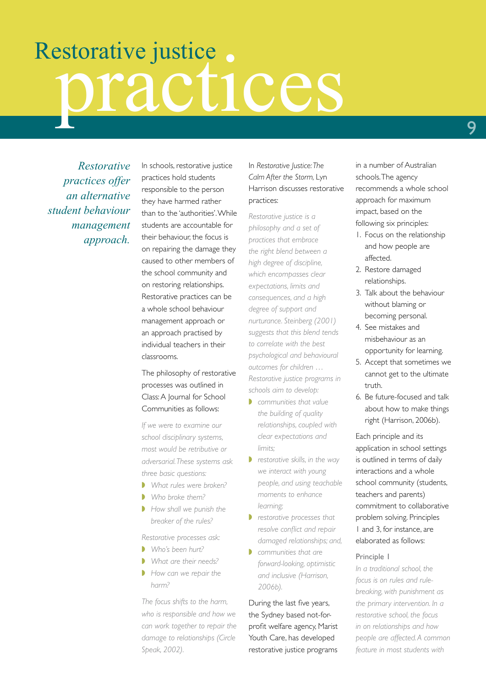# Restorative justice.

*Restorative practices offer an alternative student behaviour management approach.*

In schools, restorative justice practices hold students responsible to the person they have harmed rather than to the 'authorities'. While students are accountable for their behaviour, the focus is on repairing the damage they caused to other members of the school community and on restoring relationships. Restorative practices can be a whole school behaviour management approach or an approach practised by individual teachers in their classrooms.

The philosophy of restorative processes was outlined in Class: A Journal for School Communities as follows:

*If we were to examine our school disciplinary systems, most would be retributive or adversarial. These systems ask three basic questions:*

- ◗ *What rules were broken?*
- ◗ *Who broke them?*
- ◗ *How shall we punish the breaker of the rules?*

*Restorative processes ask:* 

- ◗ *Who's been hurt?*
- ◗ *What are their needs?*
- ◗ *How can we repair the harm?*

*The focus shifts to the harm, who is responsible and how we can work together to repair the damage to relationships (Circle Speak, 2002).*

In *Restorative Justice: The Calm After the Storm,* Lyn Harrison discusses restorative practices:

*Restorative justice is a philosophy and a set of practices that embrace the right blend between a high degree of discipline, which encompasses clear expectations, limits and consequences, and a high degree of support and nurturance. Steinberg (2001) suggests that this blend tends to correlate with the best psychological and behavioural outcomes for children … Restorative justice programs in schools aim to develop:*

- ◗ *communities that value the building of quality relationships, coupled with clear expectations and limits;*
- ◗ *restorative skills, in the way we interact with young people, and using teachable moments to enhance learning;*
- ◗ *restorative processes that resolve conflict and repair damaged relationships; and,*
- ◗ *communities that are forward-looking, optimistic and inclusive (Harrison, 2006b).*

During the last five years, the Sydney based not-forprofit welfare agency, Marist Youth Care, has developed restorative justice programs in a number of Australian schools. The agency recommends a whole school approach for maximum impact, based on the following six principles:

- 1. Focus on the relationship and how people are affected.
- 2. Restore damaged relationships.
- 3. Talk about the behaviour without blaming or becoming personal.
- 4. See mistakes and misbehaviour as an opportunity for learning.
- 5. Accept that sometimes we cannot get to the ultimate truth.
- 6. Be future-focused and talk about how to make things right (Harrison, 2006b).

Each principle and its application in school settings is outlined in terms of daily interactions and a whole school community (students, teachers and parents) commitment to collaborative problem solving. Principles 1 and 3, for instance, are elaborated as follows:

### Principle 1

*In a traditional school, the focus is on rules and rulebreaking, with punishment as the primary intervention. In a restorative school, the focus in on relationships and how people are affected. A common feature in most students with*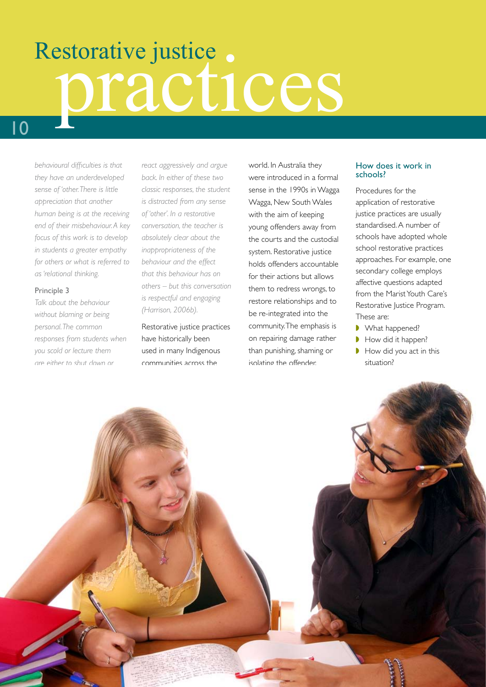# Restorative justice.

*behavioural difficulties is that they have an underdeveloped sense of 'other. There is little appreciation that another human being is at the receiving end of their misbehaviour. A key focus of this work is to develop in students a greater empathy for others or what is referred to as 'relational thinking.*

### Principle 3

*Talk about the behaviour without blaming or being personal. The common responses from students when you scold or lecture them are either to shut down or* 

*react aggressively and argue back. In either of these two classic responses, the student is distracted from any sense of 'other'. In a restorative conversation, the teacher is absolutely clear about the inappropriateness of the behaviour and the effect that this behaviour has on others – but this conversation is respectful and engaging (Harrison, 2006b).*

Restorative justice practices have historically been used in many Indigenous communities across the

world. In Australia they were introduced in a formal sense in the 1990s in Wagga Wagga, New South Wales with the aim of keeping young offenders away from the courts and the custodial system. Restorative justice holds offenders accountable for their actions but allows them to redress wrongs, to restore relationships and to be re-integrated into the community. The emphasis is on repairing damage rather than punishing, shaming or isolating the offender.

### How does it work in schools?

Procedures for the application of restorative justice practices are usually standardised. A number of schools have adopted whole school restorative practices approaches. For example, one secondary college employs affective questions adapted from the Marist Youth Care's Restorative Justice Program. These are:

- What happened?
- ◗ How did it happen?
- How did you act in this situation?

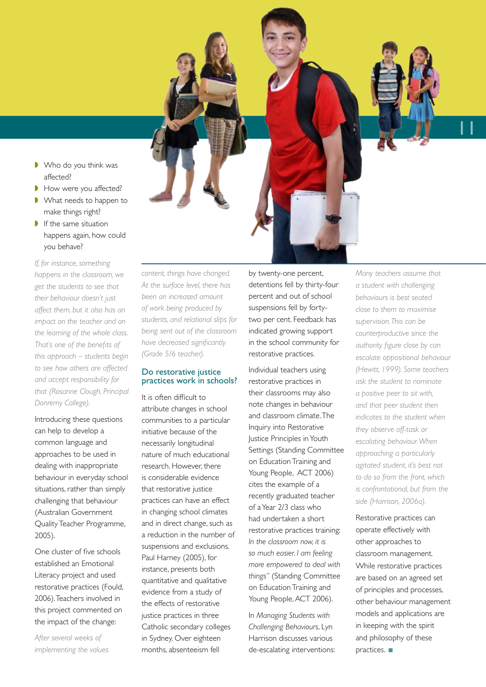- Who do you think was affected?
- How were you affected?
- What needs to happen to make things right?
- If the same situation happens again, how could you behave?

*If, for instance, something happens in the classroom, we get the students to see that their behaviour doesn't just affect them, but it also has an impact on the teacher and on the learning of the whole class. That's one of the benefits of this approach – students begin to see how others are affected and accept responsibility for that (Rosanne Clough, Principal Donremy College).*

Introducing these questions can help to develop a common language and approaches to be used in dealing with inappropriate behaviour in everyday school situations, rather than simply challenging that behaviour (Australian Government Quality Teacher Programme, 2005).

One cluster of five schools established an Emotional Literacy project and used restorative practices (Fould, 2006). Teachers involved in this project commented on the impact of the change:

*After several weeks of implementing the values*  *content, things have changed. At the surface level, there has been an increased amount of work being produced by students, and relational slips for being sent out of the classroom have decreased significantly (Grade 5/6 teacher).*

### Do restorative justice practices work in schools?

It is often difficult to attribute changes in school communities to a particular initiative because of the necessarily longitudinal nature of much educational research. However, there is considerable evidence that restorative justice practices can have an effect in changing school climates and in direct change, such as a reduction in the number of suspensions and exclusions. Paul Harney (2005), for instance, presents both quantitative and qualitative evidence from a study of the effects of restorative justice practices in three Catholic secondary colleges in Sydney. Over eighteen months, absenteeism fell

by twenty-one percent, detentions fell by thirty-four percent and out of school suspensions fell by fortytwo per cent. Feedback has indicated growing support in the school community for restorative practices.

Individual teachers using restorative practices in their classrooms may also note changes in behaviour and classroom climate. The Inquiry into Restorative Justice Principles in Youth Settings (Standing Committee on Education Training and Young People, ACT 2006) cites the example of a recently graduated teacher of a Year 2/3 class who had undertaken a short restorative practices training: *In the classroom now, it is so much easier. I am feeling more empowered to deal with things"* (Standing Committee on Education Training and Young People, ACT 2006).

In *Managing Students with Challenging Behaviours*, Lyn Harrison discusses various de-escalating interventions: *Many teachers assume that a student with challenging behaviours is best seated close to them to maximise supervision. This can be counterproductive since the authority figure close by can escalate oppositional behaviour (Hewitt, 1999). Some teachers ask the student to nominate a positive peer to sit with, and that peer student then indicates to the student when they observe off-task or escalating behaviour. When approaching a particularly agitated student, it's best not to do so from the front, which is confrontational, but from the side (Harrison, 2006a).*

11

Restorative practices can operate effectively with other approaches to classroom management. While restorative practices are based on an agreed set of principles and processes, other behaviour management models and applications are in keeping with the spirit and philosophy of these practices. ■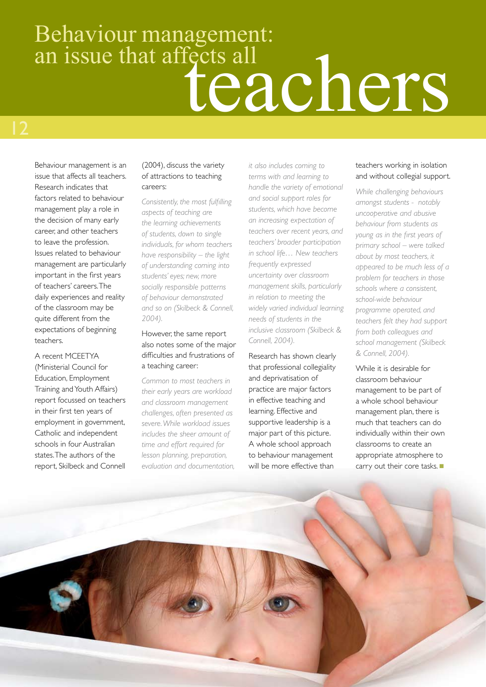### Behaviour management: tects all<br>teachers an issue that affects all

Behaviour management is an issue that affects all teachers. Research indicates that factors related to behaviour management play a role in the decision of many early career, and other teachers to leave the profession. Issues related to behaviour management are particularly important in the first years of teachers' careers. The daily experiences and reality of the classroom may be quite different from the expectations of beginning teachers.

A recent MCEETYA (Ministerial Council for Education, Employment Training and Youth Affairs) report focussed on teachers in their first ten years of employment in government, Catholic and independent schools in four Australian states. The authors of the report, Skilbeck and Connell

### (2004), discuss the variety of attractions to teaching careers:

*Consistently, the most fulfilling aspects of teaching are the learning achievements of students, down to single individuals, for whom teachers have responsibility – the light of understanding coming into students' eyes; new, more socially responsible patterns of behaviour demonstrated and so on (Skilbeck & Connell, 2004).* 

### However, the same report also notes some of the major difficulties and frustrations of a teaching career:

*Common to most teachers in their early years are workload and classroom management challenges, often presented as severe. While workload issues includes the sheer amount of time and effort required for lesson planning, preparation, evaluation and documentation,*  *it also includes coming to terms with and learning to handle the variety of emotional and social support roles for students, which have become an increasing expectation of teachers over recent years, and teachers' broader participation in school life… New teachers frequently expressed uncertainty over classroom management skills, particularly in relation to meeting the widely varied individual learning needs of students in the inclusive classroom (Skilbeck & Connell, 2004).*

Research has shown clearly that professional collegiality and deprivatisation of practice are major factors in effective teaching and learning. Effective and supportive leadership is a major part of this picture. A whole school approach to behaviour management will be more effective than

### teachers working in isolation and without collegial support.

*While challenging behaviours amongst students - notably uncooperative and abusive behaviour from students as young as in the first years of primary school – were talked about by most teachers, it appeared to be much less of a problem for teachers in those schools where a consistent, school-wide behaviour programme operated, and teachers felt they had support from both colleagues and school management (Skilbeck & Connell, 2004).* 

While it is desirable for classroom behaviour management to be part of a whole school behaviour management plan, there is much that teachers can do individually within their own classrooms to create an appropriate atmosphere to carry out their core tasks. ■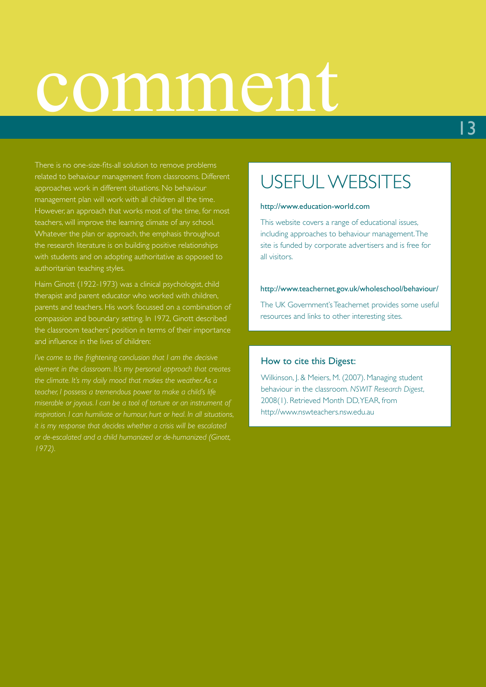## comment

There is no one-size-fits-all solution to remove problems related to behaviour management from classrooms. Different approaches work in different situations. No behaviour management plan will work with all children all the time. However, an approach that works most of the time, for most teachers, will improve the learning climate of any school. Whatever the plan or approach, the emphasis throughout the research literature is on building positive relationships with students and on adopting authoritative as opposed to authoritarian teaching styles.

Haim Ginott (1922-1973) was a clinical psychologist, child therapist and parent educator who worked with children, parents and teachers. His work focussed on a combination of compassion and boundary setting. In 1972, Ginott described the classroom teachers' position in terms of their importance and influence in the lives of children:

*I've come to the frightening conclusion that I am the decisive element in the classroom. It's my personal approach that creates the climate. It's my daily mood that makes the weather. As a teacher, I possess a tremendous power to make a child's life miserable or joyous. I can be a tool of torture or an instrument of inspiration. I can humiliate or humour, hurt or heal. In all situations, it is my response that decides whether a crisis will be escalated or de-escalated and a child humanized or de-humanized (Ginott, 1972).*

### USEFUL WEBSITES

#### http://www.education-world.com

This website covers a range of educational issues, including approaches to behaviour management. The site is funded by corporate advertisers and is free for all visitors.

#### http://www.teachernet.gov.uk/wholeschool/behaviour/

The UK Government's Teachernet provides some useful resources and links to other interesting sites.

### How to cite this Digest:

Wilkinson, J. & Meiers, M. (2007). Managing student behaviour in the classroom. *NSWIT Research Digest*, 2008(1). Retrieved Month DD, YEAR, from http://www.nswteachers.nsw.edu.au